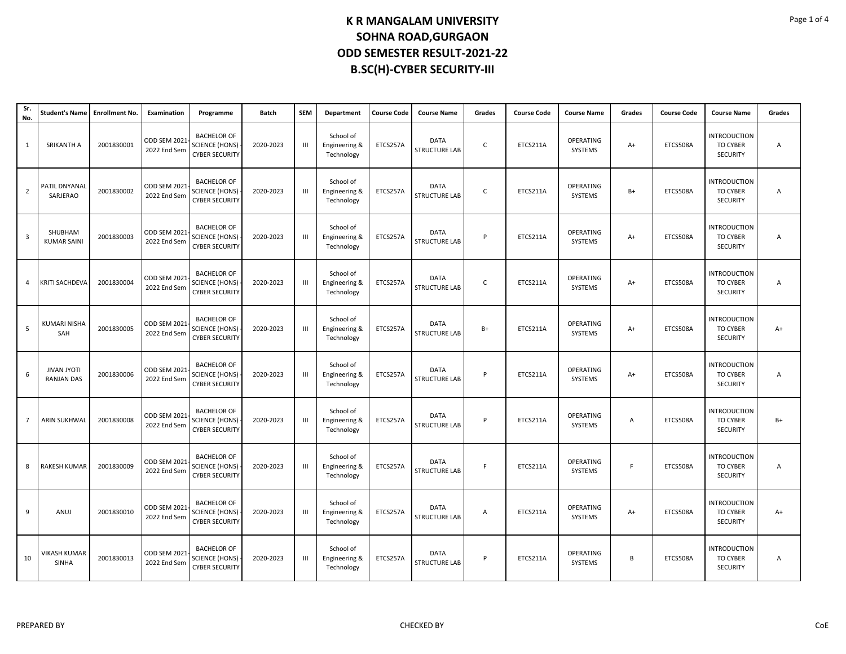| Sr.<br>No.              | Student's Name Enrollment No.           |            | Examination                         | Programme                                                            | <b>Batch</b> | <b>SEM</b>     | Department                               | <b>Course Code</b> | <b>Course Name</b>                  | Grades       | <b>Course Code</b> | <b>Course Name</b>   | Grades | <b>Course Code</b> | <b>Course Name</b>                                        | Grades |
|-------------------------|-----------------------------------------|------------|-------------------------------------|----------------------------------------------------------------------|--------------|----------------|------------------------------------------|--------------------|-------------------------------------|--------------|--------------------|----------------------|--------|--------------------|-----------------------------------------------------------|--------|
| $\mathbf{1}$            | SRIKANTH A                              | 2001830001 | <b>ODD SEM 2021</b><br>2022 End Sem | <b>BACHELOR OF</b><br><b>SCIENCE (HONS)</b><br><b>CYBER SECURITY</b> | 2020-2023    | $\mathbf{H}$   | School of<br>Engineering &<br>Technology | ETCS257A           | <b>DATA</b><br><b>STRUCTURE LAB</b> | $\mathsf{C}$ | ETCS211A           | OPERATING<br>SYSTEMS | $A+$   | ETCS508A           | <b>INTRODUCTION</b><br><b>TO CYBER</b><br><b>SECURITY</b> | A      |
| $\overline{2}$          | PATIL DNYANAL<br>SARJERAO               | 2001830002 | <b>ODD SEM 2021</b><br>2022 End Sem | <b>BACHELOR OF</b><br><b>SCIENCE (HONS)</b><br><b>CYBER SECURITY</b> | 2020-2023    | $\mathbf{III}$ | School of<br>Engineering &<br>Technology | ETCS257A           | <b>DATA</b><br><b>STRUCTURE LAB</b> | $\mathsf{C}$ | ETCS211A           | OPERATING<br>SYSTEMS | $B+$   | ETCS508A           | <b>INTRODUCTION</b><br>TO CYBER<br><b>SECURITY</b>        | А      |
| $\overline{\mathbf{3}}$ | SHUBHAM<br><b>KUMAR SAINI</b>           | 2001830003 | <b>ODD SEM 2021</b><br>2022 End Sem | <b>BACHELOR OF</b><br><b>SCIENCE (HONS)</b><br><b>CYBER SECURITY</b> | 2020-2023    | Ш              | School of<br>Engineering &<br>Technology | ETCS257A           | DATA<br><b>STRUCTURE LAB</b>        | P            | ETCS211A           | OPERATING<br>SYSTEMS | $A+$   | ETCS508A           | <b>INTRODUCTION</b><br>TO CYBER<br><b>SECURITY</b>        | Α      |
| 4                       | <b>KRITI SACHDEVA</b>                   | 2001830004 | ODD SEM 2021<br>2022 End Sem        | <b>BACHELOR OF</b><br><b>SCIENCE (HONS)</b><br><b>CYBER SECURITY</b> | 2020-2023    | Ш              | School of<br>Engineering &<br>Technology | ETCS257A           | <b>DATA</b><br><b>STRUCTURE LAB</b> | $\mathsf{C}$ | ETCS211A           | OPERATING<br>SYSTEMS | $A+$   | ETCS508A           | <b>INTRODUCTION</b><br><b>TO CYBER</b><br><b>SECURITY</b> | Α      |
| 5                       | KUMARI NISHA<br>SAH                     | 2001830005 | ODD SEM 2021<br>2022 End Sem        | <b>BACHELOR OF</b><br><b>SCIENCE (HONS)</b><br><b>CYBER SECURITY</b> | 2020-2023    | Ш              | School of<br>Engineering &<br>Technology | ETCS257A           | DATA<br><b>STRUCTURE LAB</b>        | B+           | ETCS211A           | OPERATING<br>SYSTEMS | $A+$   | ETCS508A           | <b>INTRODUCTION</b><br>TO CYBER<br>SECURITY               | A+     |
| 6                       | <b>JIVAN JYOTI</b><br><b>RANJAN DAS</b> | 2001830006 | <b>ODD SEM 2021</b><br>2022 End Sem | <b>BACHELOR OF</b><br><b>SCIENCE (HONS)</b><br><b>CYBER SECURITY</b> | 2020-2023    | $\mathbf{III}$ | School of<br>Engineering &<br>Technology | ETCS257A           | <b>DATA</b><br><b>STRUCTURE LAB</b> | P            | ETCS211A           | OPERATING<br>SYSTEMS | $A+$   | ETCS508A           | <b>INTRODUCTION</b><br><b>TO CYBER</b><br><b>SECURITY</b> | A      |
| $\overline{7}$          | <b>ARIN SUKHWAL</b>                     | 2001830008 | ODD SEM 2021<br>2022 End Sem        | <b>BACHELOR OF</b><br><b>SCIENCE (HONS)</b><br><b>CYBER SECURITY</b> | 2020-2023    | $\mathbf{III}$ | School of<br>Engineering &<br>Technology | ETCS257A           | <b>DATA</b><br><b>STRUCTURE LAB</b> | P            | ETCS211A           | OPERATING<br>SYSTEMS | A      | ETCS508A           | <b>INTRODUCTION</b><br><b>TO CYBER</b><br>SECURITY        | $B+$   |
| 8                       | RAKESH KUMAR                            | 2001830009 | <b>ODD SEM 2021</b><br>2022 End Sem | <b>BACHELOR OF</b><br><b>SCIENCE (HONS)</b><br><b>CYBER SECURITY</b> | 2020-2023    | $\mathbf{III}$ | School of<br>Engineering &<br>Technology | ETCS257A           | <b>DATA</b><br><b>STRUCTURE LAB</b> | F.           | ETCS211A           | OPERATING<br>SYSTEMS | F      | ETCS508A           | <b>INTRODUCTION</b><br>TO CYBER<br>SECURITY               | Α      |
| 9                       | ANUJ                                    | 2001830010 | <b>ODD SEM 2021</b><br>2022 End Sem | <b>BACHELOR OF</b><br><b>SCIENCE (HONS)</b><br><b>CYBER SECURITY</b> | 2020-2023    | Ш              | School of<br>Engineering &<br>Technology | ETCS257A           | DATA<br><b>STRUCTURE LAB</b>        | Α            | ETCS211A           | OPERATING<br>SYSTEMS | $A+$   | ETCS508A           | <b>INTRODUCTION</b><br>TO CYBER<br><b>SECURITY</b>        | $A+$   |
| 10                      | VIKASH KUMAR<br><b>SINHA</b>            | 2001830013 | <b>ODD SEM 2021</b><br>2022 End Sem | <b>BACHELOR OF</b><br><b>SCIENCE (HONS)</b><br><b>CYBER SECURITY</b> | 2020-2023    | Ш              | School of<br>Engineering &<br>Technology | ETCS257A           | <b>DATA</b><br><b>STRUCTURE LAB</b> | P            | ETCS211A           | OPERATING<br>SYSTEMS | B      | ETCS508A           | INTRODUCTION<br><b>TO CYBER</b><br><b>SECURITY</b>        | Α      |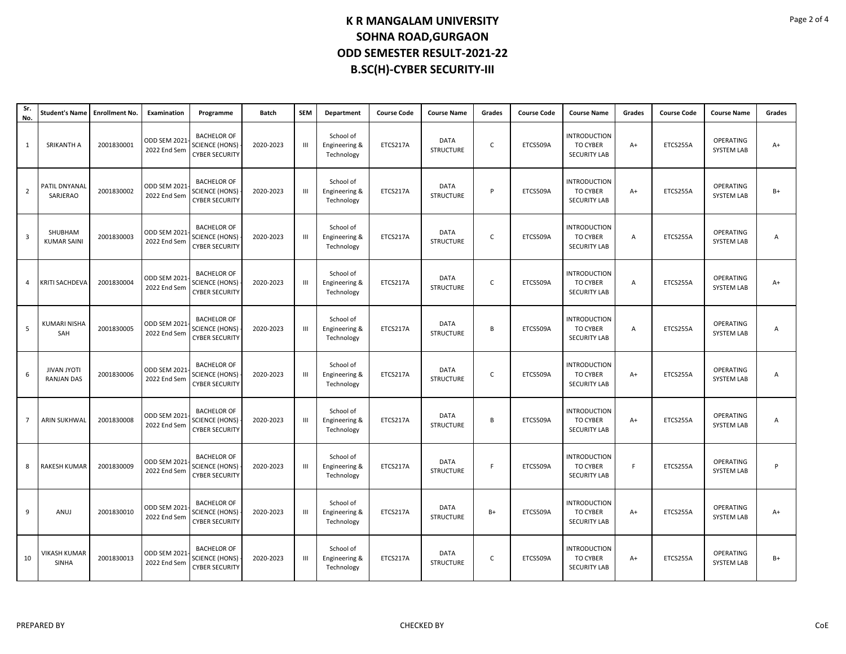| Sr.<br>No.     | Student's Name   Enrollment No.         |            | Examination                         | Programme                                                            | Batch     | <b>SEM</b>         | Department                               | <b>Course Code</b> | <b>Course Name</b>              | Grades       | <b>Course Code</b> | <b>Course Name</b>                                            | Grades | <b>Course Code</b> | <b>Course Name</b>             | Grades |
|----------------|-----------------------------------------|------------|-------------------------------------|----------------------------------------------------------------------|-----------|--------------------|------------------------------------------|--------------------|---------------------------------|--------------|--------------------|---------------------------------------------------------------|--------|--------------------|--------------------------------|--------|
| 1              | SRIKANTH A                              | 2001830001 | <b>ODD SEM 2021</b><br>2022 End Sem | <b>BACHELOR OF</b><br><b>SCIENCE (HONS)</b><br><b>CYBER SECURITY</b> | 2020-2023 | $\mathbf{H}$       | School of<br>Engineering &<br>Technology | ETCS217A           | <b>DATA</b><br><b>STRUCTURE</b> | C            | ETCS509A           | <b>INTRODUCTION</b><br><b>TO CYBER</b><br><b>SECURITY LAB</b> | $A+$   | ETCS255A           | OPERATING<br><b>SYSTEM LAB</b> | $A+$   |
| $\overline{2}$ | PATIL DNYANAL<br>SARJERAO               | 2001830002 | ODD SEM 2021<br>2022 End Sem        | <b>BACHELOR OF</b><br><b>SCIENCE (HONS)</b><br><b>CYBER SECURITY</b> | 2020-2023 | Ш                  | School of<br>Engineering &<br>Technology | ETCS217A           | DATA<br><b>STRUCTURE</b>        | P            | ETCS509A           | INTRODUCTION<br>TO CYBER<br><b>SECURITY LAB</b>               | $A+$   | ETCS255A           | OPERATING<br><b>SYSTEM LAB</b> | $B+$   |
| 3              | SHUBHAM<br><b>KUMAR SAINI</b>           | 2001830003 | <b>ODD SEM 2021</b><br>2022 End Sem | <b>BACHELOR OF</b><br><b>SCIENCE (HONS)</b><br><b>CYBER SECURITY</b> | 2020-2023 | $\mathop{\rm III}$ | School of<br>Engineering &<br>Technology | ETCS217A           | <b>DATA</b><br><b>STRUCTURE</b> | C            | ETCS509A           | <b>INTRODUCTION</b><br>TO CYBER<br><b>SECURITY LAB</b>        | А      | ETCS255A           | OPERATING<br><b>SYSTEM LAB</b> | A      |
| $\overline{4}$ | <b>KRITI SACHDEVA</b>                   | 2001830004 | <b>ODD SEM 2021</b><br>2022 End Sem | <b>BACHELOR OF</b><br><b>SCIENCE (HONS)</b><br><b>CYBER SECURITY</b> | 2020-2023 | Ш                  | School of<br>Engineering &<br>Technology | ETCS217A           | <b>DATA</b><br><b>STRUCTURE</b> | $\mathsf{C}$ | ETCS509A           | <b>INTRODUCTION</b><br>TO CYBER<br><b>SECURITY LAB</b>        | Α      | ETCS255A           | OPERATING<br><b>SYSTEM LAB</b> | $A+$   |
| 5              | <b>KUMARI NISHA</b><br>SAH              | 2001830005 | ODD SEM 2021<br>2022 End Sem        | <b>BACHELOR OF</b><br><b>SCIENCE (HONS)</b><br><b>CYBER SECURITY</b> | 2020-2023 | Ш                  | School of<br>Engineering &<br>Technology | ETCS217A           | DATA<br><b>STRUCTURE</b>        | В            | ETCS509A           | <b>INTRODUCTION</b><br>TO CYBER<br><b>SECURITY LAB</b>        | Α      | ETCS255A           | OPERATING<br><b>SYSTEM LAB</b> | Α      |
| 6              | <b>JIVAN JYOTI</b><br><b>RANJAN DAS</b> | 2001830006 | ODD SEM 2021<br>2022 End Sem        | <b>BACHELOR OF</b><br><b>SCIENCE (HONS)</b><br><b>CYBER SECURITY</b> | 2020-2023 | $\mathbf{III}$     | School of<br>Engineering &<br>Technology | ETCS217A           | <b>DATA</b><br><b>STRUCTURE</b> | C            | ETCS509A           | <b>INTRODUCTION</b><br>TO CYBER<br><b>SECURITY LAB</b>        | $A+$   | ETCS255A           | OPERATING<br><b>SYSTEM LAB</b> | Α      |
| 7              | <b>ARIN SUKHWAL</b>                     | 2001830008 | ODD SEM 2021<br>2022 End Sem        | <b>BACHELOR OF</b><br><b>SCIENCE (HONS)</b><br><b>CYBER SECURITY</b> | 2020-2023 | Ш                  | School of<br>Engineering &<br>Technology | ETCS217A           | DATA<br><b>STRUCTURE</b>        | В            | ETCS509A           | INTRODUCTION<br>TO CYBER<br><b>SECURITY LAB</b>               | $A+$   | ETCS255A           | OPERATING<br><b>SYSTEM LAB</b> | Α      |
| 8              | <b>RAKESH KUMAR</b>                     | 2001830009 | <b>ODD SEM 2021</b><br>2022 End Sem | <b>BACHELOR OF</b><br><b>SCIENCE (HONS)</b><br><b>CYBER SECURITY</b> | 2020-2023 | $\mathbf{m}$       | School of<br>Engineering &<br>Technology | ETCS217A           | <b>DATA</b><br><b>STRUCTURE</b> | F            | ETCS509A           | <b>INTRODUCTION</b><br>TO CYBER<br><b>SECURITY LAB</b>        | F.     | ETCS255A           | OPERATING<br><b>SYSTEM LAB</b> | P      |
| 9              | ANUJ                                    | 2001830010 | ODD SEM 2021<br>2022 End Sem        | <b>BACHELOR OF</b><br><b>SCIENCE (HONS)</b><br><b>CYBER SECURITY</b> | 2020-2023 | $\mathbf{m}$       | School of<br>Engineering &<br>Technology | ETCS217A           | DATA<br><b>STRUCTURE</b>        | $B+$         | ETCS509A           | <b>INTRODUCTION</b><br>TO CYBER<br><b>SECURITY LAB</b>        | $A+$   | ETCS255A           | OPERATING<br><b>SYSTEM LAB</b> | $A+$   |
| 10             | <b>VIKASH KUMAR</b><br><b>SINHA</b>     | 2001830013 | ODD SEM 2021<br>2022 End Sem        | <b>BACHELOR OF</b><br><b>SCIENCE (HONS)</b><br><b>CYBER SECURITY</b> | 2020-2023 | Ш                  | School of<br>Engineering &<br>Technology | ETCS217A           | DATA<br><b>STRUCTURE</b>        | C            | ETCS509A           | <b>INTRODUCTION</b><br>TO CYBER<br><b>SECURITY LAB</b>        | A+     | ETCS255A           | OPERATING<br><b>SYSTEM LAB</b> | $B+$   |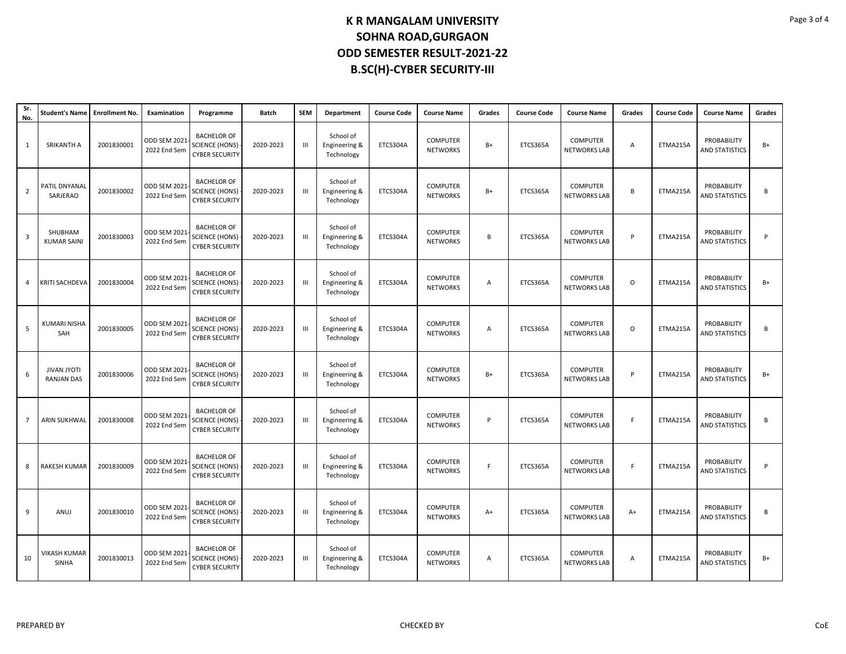| Sr.<br>No.     | <b>Student's Name</b>                   | <b>Enrollment No.</b> | Examination                         | Programme                                                            | Batch     | <b>SEM</b> | Department                               | <b>Course Code</b> | <b>Course Name</b>                 | Grades | <b>Course Code</b> | <b>Course Name</b>                     | Grades      | <b>Course Code</b> | <b>Course Name</b>                   | Grades |
|----------------|-----------------------------------------|-----------------------|-------------------------------------|----------------------------------------------------------------------|-----------|------------|------------------------------------------|--------------------|------------------------------------|--------|--------------------|----------------------------------------|-------------|--------------------|--------------------------------------|--------|
| 1              | SRIKANTH A                              | 2001830001            | ODD SEM 202<br>2022 End Sem         | <b>BACHELOR OF</b><br><b>SCIENCE (HONS)</b><br><b>CYBER SECURITY</b> | 2020-2023 | III        | School of<br>Engineering &<br>Technology | ETCS304A           | <b>COMPUTER</b><br><b>NETWORKS</b> | $B+$   | ETCS365A           | <b>COMPUTER</b><br><b>NETWORKS LAB</b> | A           | ETMA215A           | PROBABILITY<br><b>AND STATISTICS</b> | $B+$   |
| $\overline{2}$ | PATIL DNYANAL<br>SARJERAO               | 2001830002            | <b>ODD SEM 2021</b><br>2022 End Sem | <b>BACHELOR OF</b><br><b>SCIENCE (HONS)</b><br><b>CYBER SECURITY</b> | 2020-2023 | Ш          | School of<br>Engineering &<br>Technology | ETCS304A           | <b>COMPUTER</b><br><b>NETWORKS</b> | B+     | ETCS365A           | <b>COMPUTER</b><br><b>NETWORKS LAB</b> | B           | ETMA215A           | PROBABILITY<br><b>AND STATISTICS</b> | В      |
| 3              | SHUBHAM<br><b>KUMAR SAINI</b>           | 2001830003            | <b>ODD SEM 2021</b><br>2022 End Sem | <b>BACHELOR OF</b><br><b>SCIENCE (HONS)</b><br><b>CYBER SECURITY</b> | 2020-2023 | Ш          | School of<br>Engineering &<br>Technology | ETCS304A           | <b>COMPUTER</b><br><b>NETWORKS</b> | B      | ETCS365A           | <b>COMPUTER</b><br><b>NETWORKS LAB</b> | P           | ETMA215A           | PROBABILITY<br><b>AND STATISTICS</b> | P      |
| 4              | <b>KRITI SACHDEVA</b>                   | 2001830004            | ODD SEM 202:<br>2022 End Sem        | <b>BACHELOR OF</b><br><b>SCIENCE (HONS)</b><br><b>CYBER SECURITY</b> | 2020-2023 | Ш          | School of<br>Engineering &<br>Technology | ETCS304A           | <b>COMPUTER</b><br><b>NETWORKS</b> | Α      | ETCS365A           | <b>COMPUTER</b><br><b>NETWORKS LAB</b> | $\mathsf O$ | ETMA215A           | PROBABILITY<br><b>AND STATISTICS</b> | $B+$   |
| 5              | <b>KUMARI NISHA</b><br>SAH              | 2001830005            | <b>ODD SEM 2021</b><br>2022 End Sem | <b>BACHELOR OF</b><br><b>SCIENCE (HONS)</b><br><b>CYBER SECURITY</b> | 2020-2023 | Ш          | School of<br>Engineering &<br>Technology | ETCS304A           | <b>COMPUTER</b><br><b>NETWORKS</b> | Α      | ETCS365A           | COMPUTER<br><b>NETWORKS LAB</b>        | $\circ$     | ETMA215A           | PROBABILITY<br><b>AND STATISTICS</b> | B      |
| 6              | <b>JIVAN JYOTI</b><br><b>RANJAN DAS</b> | 2001830006            | ODD SEM 202<br>2022 End Sem         | <b>BACHELOR OF</b><br><b>SCIENCE (HONS)</b><br><b>CYBER SECURITY</b> | 2020-2023 | III        | School of<br>Engineering &<br>Technology | ETCS304A           | <b>COMPUTER</b><br><b>NETWORKS</b> | B+     | ETCS365A           | <b>COMPUTER</b><br><b>NETWORKS LAB</b> | P           | ETMA215A           | PROBABILITY<br><b>AND STATISTICS</b> | $B+$   |
| $\overline{7}$ | <b>ARIN SUKHWAL</b>                     | 2001830008            | <b>ODD SEM 2021</b><br>2022 End Sem | <b>BACHELOR OF</b><br><b>SCIENCE (HONS)</b><br><b>CYBER SECURITY</b> | 2020-2023 | III        | School of<br>Engineering &<br>Technology | ETCS304A           | <b>COMPUTER</b><br><b>NETWORKS</b> | P      | ETCS365A           | <b>COMPUTER</b><br><b>NETWORKS LAB</b> | F           | ETMA215A           | PROBABILITY<br><b>AND STATISTICS</b> | B      |
| 8              | RAKESH KUMAR                            | 2001830009            | <b>ODD SEM 2021</b><br>2022 End Sem | <b>BACHELOR OF</b><br><b>SCIENCE (HONS)</b><br><b>CYBER SECURITY</b> | 2020-2023 | Ш          | School of<br>Engineering &<br>Technology | ETCS304A           | <b>COMPUTER</b><br><b>NETWORKS</b> | F      | ETCS365A           | <b>COMPUTER</b><br><b>NETWORKS LAB</b> | F.          | ETMA215A           | PROBABILITY<br><b>AND STATISTICS</b> | P      |
| 9              | ANUJ                                    | 2001830010            | ODD SEM 202:<br>2022 End Sem        | <b>BACHELOR OF</b><br><b>SCIENCE (HONS)</b><br><b>CYBER SECURITY</b> | 2020-2023 | Ш          | School of<br>Engineering &<br>Technology | ETCS304A           | <b>COMPUTER</b><br><b>NETWORKS</b> | A+     | ETCS365A           | <b>COMPUTER</b><br><b>NETWORKS LAB</b> | $A+$        | ETMA215A           | PROBABILITY<br><b>AND STATISTICS</b> | B      |
| 10             | VIKASH KUMAR<br><b>SINHA</b>            | 2001830013            | ODD SEM 202:<br>2022 End Sem        | <b>BACHELOR OF</b><br><b>SCIENCE (HONS)</b><br><b>CYBER SECURITY</b> | 2020-2023 | Ш          | School of<br>Engineering &<br>Technology | ETCS304A           | <b>COMPUTER</b><br><b>NETWORKS</b> | Α      | ETCS365A           | COMPUTER<br><b>NETWORKS LAB</b>        | Α           | ETMA215A           | PROBABILITY<br><b>AND STATISTICS</b> | $B+$   |